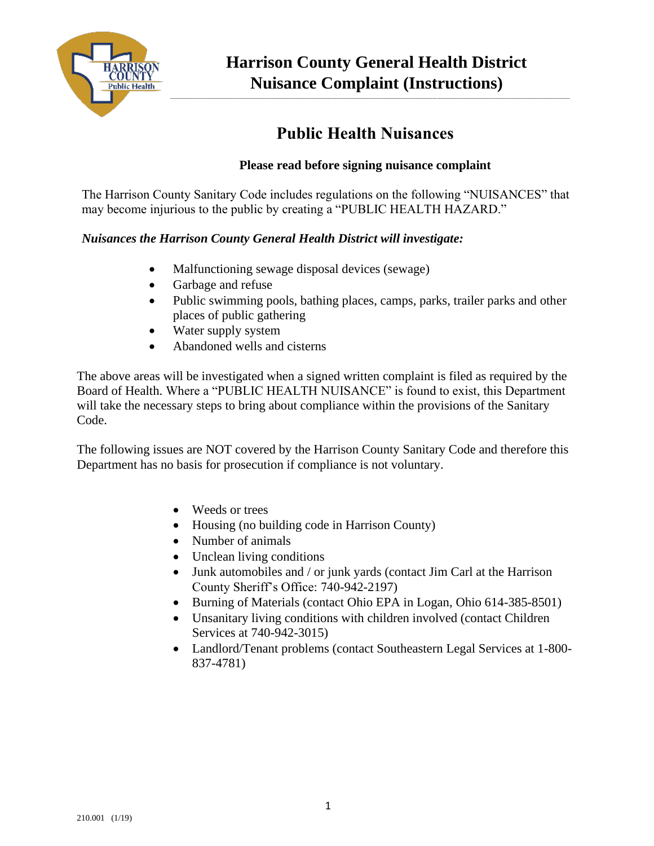

**\_\_\_\_\_\_\_\_\_\_\_\_\_\_\_\_\_\_\_\_\_\_\_\_\_\_\_\_\_\_\_\_\_\_\_\_\_\_\_\_\_\_\_\_\_\_\_\_\_\_\_\_\_\_\_\_\_\_\_\_\_\_\_\_\_\_\_\_\_\_\_\_\_\_\_\_\_\_\_\_\_\_\_\_\_\_\_\_\_\_\_\_\_\_\_\_\_\_\_\_\_\_\_\_\_\_\_\_\_\_\_\_\_\_\_\_\_\_\_\_\_\_\_\_\_\_\_\_\_\_\_\_\_\_\_\_\_\_\_\_\_\_\_\_\_\_\_\_\_\_\_\_\_\_\_\_\_\_\_\_\_\_\_\_\_\_\_\_\_\_\_\_\_\_\_\_\_\_\_\_\_\_\_\_\_\_\_**

## **Public Health Nuisances**

## **Please read before signing nuisance complaint**

The Harrison County Sanitary Code includes regulations on the following "NUISANCES" that may become injurious to the public by creating a "PUBLIC HEALTH HAZARD."

## *Nuisances the Harrison County General Health District will investigate:*

- Malfunctioning sewage disposal devices (sewage)
- Garbage and refuse
- Public swimming pools, bathing places, camps, parks, trailer parks and other places of public gathering
- Water supply system
- Abandoned wells and cisterns

The above areas will be investigated when a signed written complaint is filed as required by the Board of Health. Where a "PUBLIC HEALTH NUISANCE" is found to exist, this Department will take the necessary steps to bring about compliance within the provisions of the Sanitary Code.

The following issues are NOT covered by the Harrison County Sanitary Code and therefore this Department has no basis for prosecution if compliance is not voluntary.

- Weeds or trees
- Housing (no building code in Harrison County)
- Number of animals
- Unclean living conditions
- Junk automobiles and / or junk yards (contact Jim Carl at the Harrison County Sheriff's Office: 740-942-2197)
- Burning of Materials (contact Ohio EPA in Logan, Ohio 614-385-8501)
- Unsanitary living conditions with children involved (contact Children Services at 740-942-3015)
- Landlord/Tenant problems (contact Southeastern Legal Services at 1-800- 837-4781)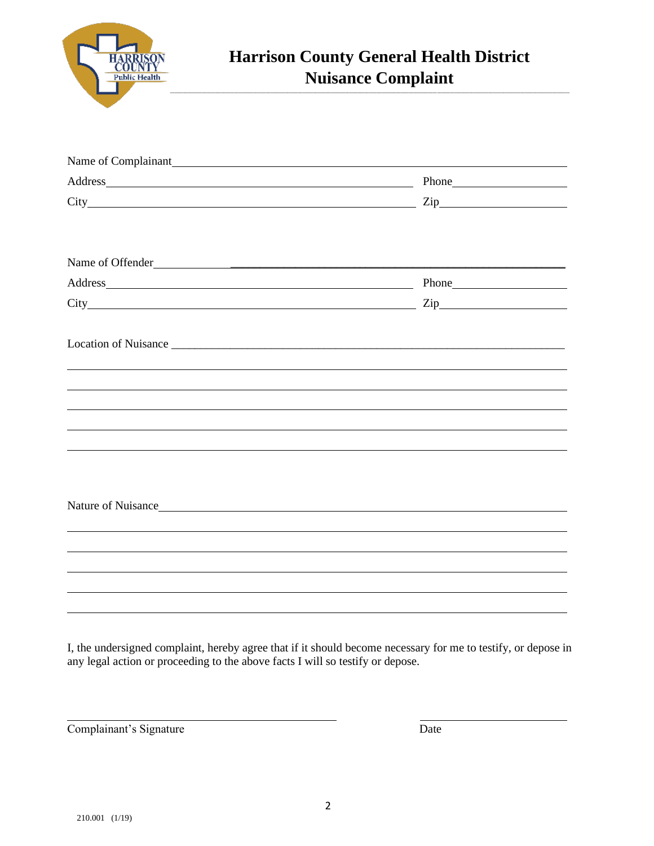

| $City$ $Zip$       |  |
|--------------------|--|
| Name of Offender   |  |
|                    |  |
| $City$ $Zip$       |  |
|                    |  |
|                    |  |
|                    |  |
|                    |  |
|                    |  |
| Nature of Nuisance |  |
|                    |  |
|                    |  |
|                    |  |
|                    |  |

I, the undersigned complaint, hereby agree that if it should become necessary for me to testify, or depose in any legal action or proceeding to the above facts I will so testify or depose.

Complainant's Signature Date